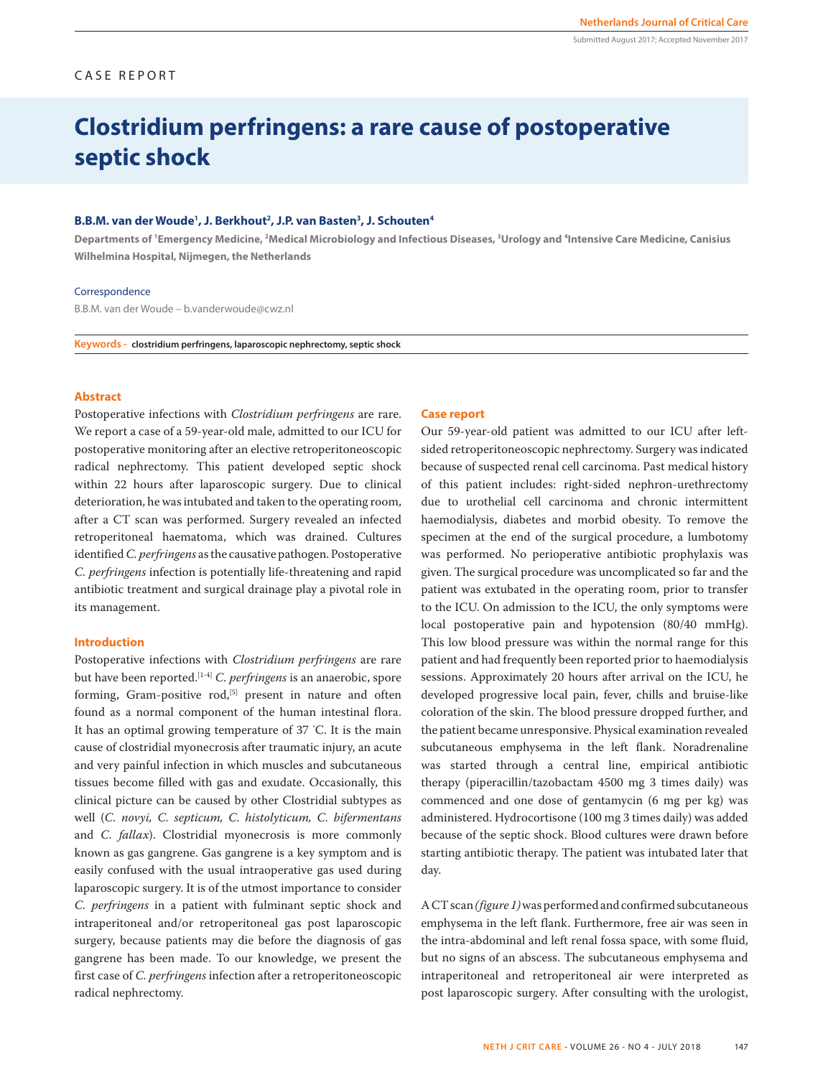## CASE REPORT

# **Clostridium perfringens: a rare cause of postoperative septic shock**

#### **B.B.M. van der Woude1 , J. Berkhout2 , J.P. van Basten3 , J. Schouten4**

**Departments of 1 Emergency Medicine, 2 Medical Microbiology and Infectious Diseases, 3 Urology and 4 Intensive Care Medicine, Canisius Wilhelmina Hospital, Nijmegen, the Netherlands**

#### Correspondence

B.B.M. van der Woude – b.vanderwoude@cwz.nl

**Keywords - clostridium perfringens, laparoscopic nephrectomy, septic shock**

## **Abstract**

Postoperative infections with *Clostridium perfringens* are rare. We report a case of a 59-year-old male, admitted to our ICU for postoperative monitoring after an elective retroperitoneoscopic radical nephrectomy. This patient developed septic shock within 22 hours after laparoscopic surgery. Due to clinical deterioration, he was intubated and taken to the operating room, after a CT scan was performed. Surgery revealed an infected retroperitoneal haematoma, which was drained. Cultures identified *C. perfringens* as the causative pathogen. Postoperative *C. perfringens* infection is potentially life-threatening and rapid antibiotic treatment and surgical drainage play a pivotal role in its management.

#### **Introduction**

Postoperative infections with *Clostridium perfringens* are rare but have been reported.[1-4] *C. perfringens* is an anaerobic, spore forming, Gram-positive  $rod<sub>1</sub>$ <sup>[5]</sup> present in nature and often found as a normal component of the human intestinal flora. It has an optimal growing temperature of 37 º C. It is the main cause of clostridial myonecrosis after traumatic injury, an acute and very painful infection in which muscles and subcutaneous tissues become filled with gas and exudate. Occasionally, this clinical picture can be caused by other Clostridial subtypes as well (*C. novyi, C. septicum, C. histolyticum, C. bifermentans*  and *C. fallax*). Clostridial myonecrosis is more commonly known as gas gangrene. Gas gangrene is a key symptom and is easily confused with the usual intraoperative gas used during laparoscopic surgery. It is of the utmost importance to consider *C. perfringens* in a patient with fulminant septic shock and intraperitoneal and/or retroperitoneal gas post laparoscopic surgery, because patients may die before the diagnosis of gas gangrene has been made. To our knowledge, we present the first case of *C. perfringens* infection after a retroperitoneoscopic radical nephrectomy.

#### **Case report**

Our 59-year-old patient was admitted to our ICU after leftsided retroperitoneoscopic nephrectomy. Surgery was indicated because of suspected renal cell carcinoma. Past medical history of this patient includes: right-sided nephron-urethrectomy due to urothelial cell carcinoma and chronic intermittent haemodialysis, diabetes and morbid obesity. To remove the specimen at the end of the surgical procedure, a lumbotomy was performed. No perioperative antibiotic prophylaxis was given. The surgical procedure was uncomplicated so far and the patient was extubated in the operating room, prior to transfer to the ICU. On admission to the ICU, the only symptoms were local postoperative pain and hypotension (80/40 mmHg). This low blood pressure was within the normal range for this patient and had frequently been reported prior to haemodialysis sessions. Approximately 20 hours after arrival on the ICU, he developed progressive local pain, fever, chills and bruise-like coloration of the skin. The blood pressure dropped further, and the patient became unresponsive. Physical examination revealed subcutaneous emphysema in the left flank. Noradrenaline was started through a central line, empirical antibiotic therapy (piperacillin/tazobactam 4500 mg 3 times daily) was commenced and one dose of gentamycin (6 mg per kg) was administered. Hydrocortisone (100 mg 3 times daily) was added because of the septic shock. Blood cultures were drawn before starting antibiotic therapy. The patient was intubated later that day.

A CT scan *(figure 1)* was performed and confirmed subcutaneous emphysema in the left flank. Furthermore, free air was seen in the intra-abdominal and left renal fossa space, with some fluid, but no signs of an abscess. The subcutaneous emphysema and intraperitoneal and retroperitoneal air were interpreted as post laparoscopic surgery. After consulting with the urologist,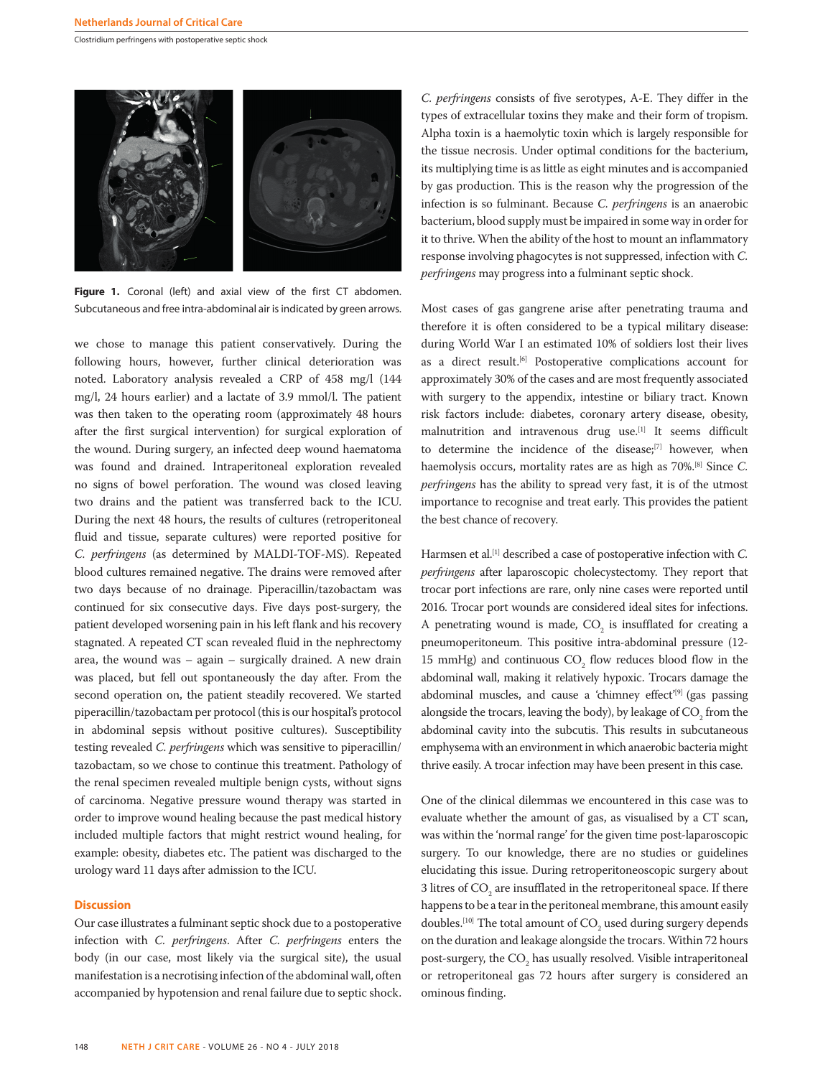

Figure 1. Coronal (left) and axial view of the first CT abdomen. Subcutaneous and free intra-abdominal air is indicated by green arrows.

we chose to manage this patient conservatively. During the following hours, however, further clinical deterioration was noted. Laboratory analysis revealed a CRP of 458 mg/l (144 mg/l, 24 hours earlier) and a lactate of 3.9 mmol/l. The patient was then taken to the operating room (approximately 48 hours after the first surgical intervention) for surgical exploration of the wound. During surgery, an infected deep wound haematoma was found and drained. Intraperitoneal exploration revealed no signs of bowel perforation. The wound was closed leaving two drains and the patient was transferred back to the ICU. During the next 48 hours, the results of cultures (retroperitoneal fluid and tissue, separate cultures) were reported positive for *C. perfringens* (as determined by MALDI-TOF-MS). Repeated blood cultures remained negative. The drains were removed after two days because of no drainage. Piperacillin/tazobactam was continued for six consecutive days. Five days post-surgery, the patient developed worsening pain in his left flank and his recovery stagnated. A repeated CT scan revealed fluid in the nephrectomy area, the wound was – again – surgically drained. A new drain was placed, but fell out spontaneously the day after. From the second operation on, the patient steadily recovered. We started piperacillin/tazobactam per protocol (this is our hospital's protocol in abdominal sepsis without positive cultures). Susceptibility testing revealed *C. perfringens* which was sensitive to piperacillin/ tazobactam, so we chose to continue this treatment. Pathology of the renal specimen revealed multiple benign cysts, without signs of carcinoma. Negative pressure wound therapy was started in order to improve wound healing because the past medical history included multiple factors that might restrict wound healing, for example: obesity, diabetes etc. The patient was discharged to the urology ward 11 days after admission to the ICU.

#### **Discussion**

Our case illustrates a fulminant septic shock due to a postoperative infection with *C. perfringens*. After *C. perfringens* enters the body (in our case, most likely via the surgical site), the usual manifestation is a necrotising infection of the abdominal wall, often accompanied by hypotension and renal failure due to septic shock.

*C. perfringens* consists of five serotypes, A-E. They differ in the types of extracellular toxins they make and their form of tropism. Alpha toxin is a haemolytic toxin which is largely responsible for the tissue necrosis. Under optimal conditions for the bacterium, its multiplying time is as little as eight minutes and is accompanied by gas production. This is the reason why the progression of the infection is so fulminant. Because *C. perfringens* is an anaerobic bacterium, blood supply must be impaired in some way in order for it to thrive. When the ability of the host to mount an inflammatory response involving phagocytes is not suppressed, infection with *C. perfringens* may progress into a fulminant septic shock.

Most cases of gas gangrene arise after penetrating trauma and therefore it is often considered to be a typical military disease: during World War I an estimated 10% of soldiers lost their lives as a direct result.<sup>[6]</sup> Postoperative complications account for approximately 30% of the cases and are most frequently associated with surgery to the appendix, intestine or biliary tract. Known risk factors include: diabetes, coronary artery disease, obesity, malnutrition and intravenous drug use.<sup>[1]</sup> It seems difficult to determine the incidence of the disease;[7] however, when haemolysis occurs, mortality rates are as high as 70%.[8] Since *C. perfringens* has the ability to spread very fast, it is of the utmost importance to recognise and treat early. This provides the patient the best chance of recovery.

Harmsen et al.<sup>[1]</sup> described a case of postoperative infection with *C*. *perfringens* after laparoscopic cholecystectomy. They report that trocar port infections are rare, only nine cases were reported until 2016. Trocar port wounds are considered ideal sites for infections. A penetrating wound is made,  $CO<sub>2</sub>$  is insufflated for creating a pneumoperitoneum. This positive intra-abdominal pressure (12- 15 mmHg) and continuous  $CO<sub>2</sub>$  flow reduces blood flow in the abdominal wall, making it relatively hypoxic. Trocars damage the abdominal muscles, and cause a 'chimney effect'<sup>[9]</sup> (gas passing alongside the trocars, leaving the body), by leakage of  $\mathrm{CO}_2$  from the abdominal cavity into the subcutis. This results in subcutaneous emphysema with an environment in which anaerobic bacteria might thrive easily. A trocar infection may have been present in this case.

One of the clinical dilemmas we encountered in this case was to evaluate whether the amount of gas, as visualised by a CT scan, was within the 'normal range' for the given time post-laparoscopic surgery. To our knowledge, there are no studies or guidelines elucidating this issue. During retroperitoneoscopic surgery about 3 litres of  $CO<sub>2</sub>$  are insufflated in the retroperitoneal space. If there happens to be a tear in the peritoneal membrane, this amount easily doubles.<sup>[10]</sup> The total amount of  $CO<sub>2</sub>$  used during surgery depends on the duration and leakage alongside the trocars. Within 72 hours post-surgery, the  $CO<sub>2</sub>$  has usually resolved. Visible intraperitoneal or retroperitoneal gas 72 hours after surgery is considered an ominous finding.